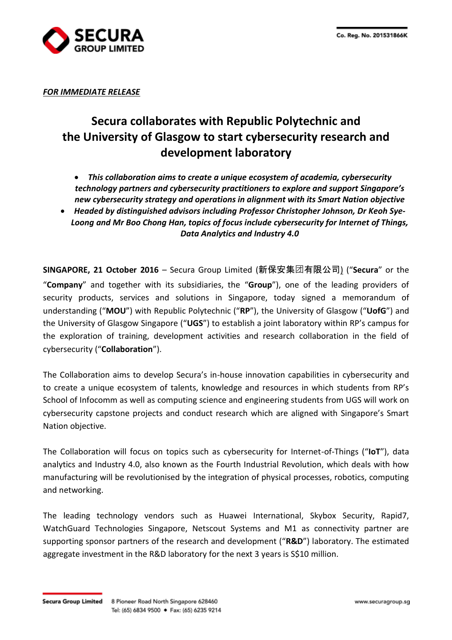

*FOR IMMEDIATE RELEASE*

# **Secura collaborates with Republic Polytechnic and the University of Glasgow to start cybersecurity research and development laboratory**

- *This collaboration aims to create a unique ecosystem of academia, cybersecurity technology partners and cybersecurity practitioners to explore and support Singapore's new cybersecurity strategy and operations in alignment with its Smart Nation objective*
- *Headed by distinguished advisors including Professor Christopher Johnson, Dr Keoh Sye-Loong and Mr Boo Chong Han, topics of focus include cybersecurity for Internet of Things, Data Analytics and Industry 4.0*

**SINGAPORE, 21 October 2016** – Secura Group Limited (新保安集团有限公司) ("**Secura**" or the "**Company**" and together with its subsidiaries, the "**Group**"), one of the leading providers of security products, services and solutions in Singapore, today signed a memorandum of understanding ("**MOU**") with Republic Polytechnic ("**RP**"), the University of Glasgow ("**UofG**") and the University of Glasgow Singapore ("**UGS**") to establish a joint laboratory within RP's campus for the exploration of training, development activities and research collaboration in the field of cybersecurity ("**Collaboration**").

The Collaboration aims to develop Secura's in-house innovation capabilities in cybersecurity and to create a unique ecosystem of talents, knowledge and resources in which students from RP's School of Infocomm as well as computing science and engineering students from UGS will work on cybersecurity capstone projects and conduct research which are aligned with Singapore's Smart Nation objective.

The Collaboration will focus on topics such as cybersecurity for Internet-of-Things ("**IoT**"), data analytics and Industry 4.0, also known as the Fourth Industrial Revolution, which deals with how manufacturing will be revolutionised by the integration of physical processes, robotics, computing and networking.

The leading technology vendors such as Huawei International, Skybox Security, Rapid7, WatchGuard Technologies Singapore, Netscout Systems and M1 as connectivity partner are supporting sponsor partners of the research and development ("**R&D**") laboratory. The estimated aggregate investment in the R&D laboratory for the next 3 years is S\$10 million.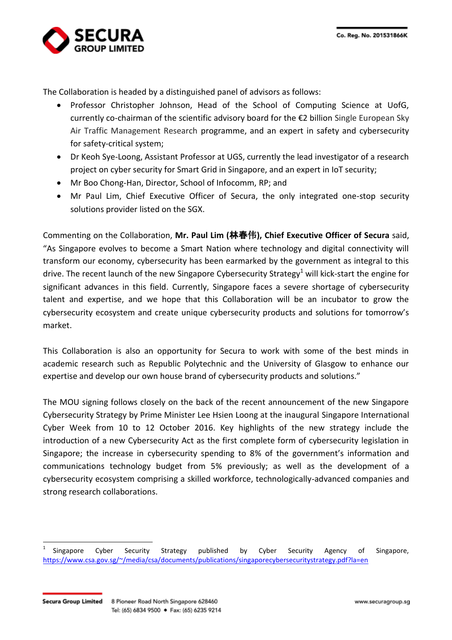

The Collaboration is headed by a distinguished panel of advisors as follows:

- Professor Christopher Johnson, Head of the School of Computing Science at UofG, currently co-chairman of the scientific advisory board for the €2 billion Single European Sky Air Traffic Management Research programme, and an expert in safety and cybersecurity for safety-critical system;
- Dr Keoh Sye-Loong, Assistant Professor at UGS, currently the lead investigator of a research project on cyber security for Smart Grid in Singapore, and an expert in IoT security;
- Mr Boo Chong-Han, Director, School of Infocomm, RP; and
- Mr Paul Lim, Chief Executive Officer of Secura, the only integrated one-stop security solutions provider listed on the SGX.

Commenting on the Collaboration, **Mr. Paul Lim (**林春伟**), Chief Executive Officer of Secura** said, "As Singapore evolves to become a Smart Nation where technology and digital connectivity will transform our economy, cybersecurity has been earmarked by the government as integral to this drive. The recent launch of the new Singapore Cybersecurity Strategy<sup>1</sup> will kick-start the engine for significant advances in this field. Currently, Singapore faces a severe shortage of cybersecurity talent and expertise, and we hope that this Collaboration will be an incubator to grow the cybersecurity ecosystem and create unique cybersecurity products and solutions for tomorrow's market.

This Collaboration is also an opportunity for Secura to work with some of the best minds in academic research such as Republic Polytechnic and the University of Glasgow to enhance our expertise and develop our own house brand of cybersecurity products and solutions."

The MOU signing follows closely on the back of the recent announcement of the new Singapore Cybersecurity Strategy by Prime Minister Lee Hsien Loong at the inaugural Singapore International Cyber Week from 10 to 12 October 2016. Key highlights of the new strategy include the introduction of a new Cybersecurity Act as the first complete form of cybersecurity legislation in Singapore; the increase in cybersecurity spending to 8% of the government's information and communications technology budget from 5% previously; as well as the development of a cybersecurity ecosystem comprising a skilled workforce, technologically-advanced companies and strong research collaborations.

<sup>1</sup> Singapore Cyber Security Strategy published by Cyber Security Agency of Singapore, https://www.csa.gov.sg/~/media/csa/documents/publications/singaporecybersecuritystrategy.pdf?la=en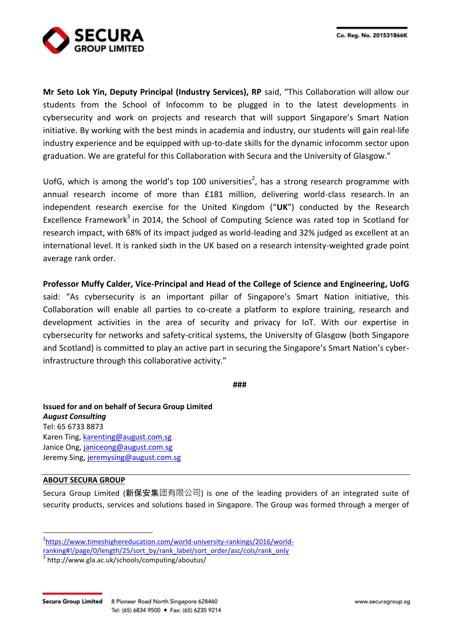**Mr Seto Lok Yin, Deputy Principal (Industry Services), RP** said, "This Collaboration will allow our students from the School of Infocomm to be plugged in to the latest developments in cybersecurity and work on projects and research that will support Singapore's Smart Nation initiative. By working with the best minds in academia and industry, our students will gain real-life industry experience and be equipped with up-to-date skills for the dynamic infocomm sector upon graduation. We are grateful for this Collaboration with Secura and the University of Glasgow."

UofG, which is among the world's top 100 universities<sup>2</sup>, has a strong research programme with annual research income of more than £181 million, delivering world-class research. In an independent research exercise for the United Kingdom ("**UK**") conducted by the Research Excellence Framework<sup>3</sup> in 2014, the School of Computing Science was rated top in Scotland for research impact, with 68% of its impact judged as world-leading and 32% judged as excellent at an international level. It is ranked sixth in the UK based on a research intensity-weighted grade point average rank order.

**Professor Muffy Calder, Vice-Principal and Head of the College of Science and Engineering, UofG** said: "As cybersecurity is an important pillar of Singapore's Smart Nation initiative, this Collaboration will enable all parties to co-create a platform to explore training, research and development activities in the area of security and privacy for IoT. With our expertise in cybersecurity for networks and safety-critical systems, the University of Glasgow (both Singapore and Scotland) is committed to play an active part in securing the Singapore's Smart Nation's cyberinfrastructure through this collaborative activity."

**###**

**Issued for and on behalf of Secura Group Limited** *August Consulting* Tel: 65 6733 8873 Karen Ting, [karenting@august.com.sg](mailto:karenting@august.com.sg) Janice Ong, [janiceong@august.com.sg](mailto:janiceong@august.com.sg) Jeremy Sing, [jeremysing@august.com.sg](mailto:colintan@august.com.sg) 

# **ABOUT SECURA GROUP**

 $\overline{a}$ 

Secura Group Limited (新保安集团有限公司) is one of the leading providers of an integrated suite of security products, services and solutions based in Singapore. The Group was formed through a merger of

3 http://www.gla.ac.uk/schools/computing/aboutus/

<sup>&</sup>lt;sup>2</sup>[https://www.timeshighereducation.com/world-university-rankings/2016/world-](https://www.timeshighereducation.com/world-university-rankings/2016/world-ranking#!/page/0/length/25/sort_by/rank_label/sort_order/asc/cols/rank_only)

[ranking#!/page/0/length/25/sort\\_by/rank\\_label/sort\\_order/asc/cols/rank\\_only](https://www.timeshighereducation.com/world-university-rankings/2016/world-ranking#!/page/0/length/25/sort_by/rank_label/sort_order/asc/cols/rank_only)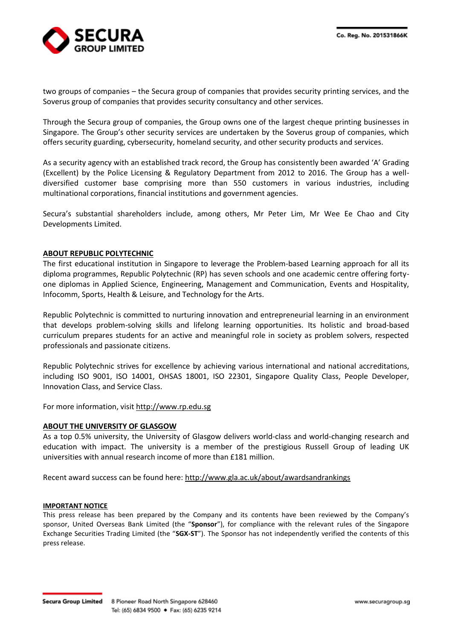

two groups of companies – the Secura group of companies that provides security printing services, and the Soverus group of companies that provides security consultancy and other services.

Through the Secura group of companies, the Group owns one of the largest cheque printing businesses in Singapore. The Group's other security services are undertaken by the Soverus group of companies, which offers security guarding, cybersecurity, homeland security, and other security products and services.

As a security agency with an established track record, the Group has consistently been awarded 'A' Grading (Excellent) by the Police Licensing & Regulatory Department from 2012 to 2016. The Group has a welldiversified customer base comprising more than 550 customers in various industries, including multinational corporations, financial institutions and government agencies.

Secura's substantial shareholders include, among others, Mr Peter Lim, Mr Wee Ee Chao and City Developments Limited.

# **ABOUT REPUBLIC POLYTECHNIC**

The first educational institution in Singapore to leverage the Problem-based Learning approach for all its diploma programmes, Republic Polytechnic (RP) has seven schools and one academic centre offering fortyone diplomas in Applied Science, Engineering, Management and Communication, Events and Hospitality, Infocomm, Sports, Health & Leisure, and Technology for the Arts.

Republic Polytechnic is committed to nurturing innovation and entrepreneurial learning in an environment that develops problem-solving skills and lifelong learning opportunities. Its holistic and broad-based curriculum prepares students for an active and meaningful role in society as problem solvers, respected professionals and passionate citizens.

Republic Polytechnic strives for excellence by achieving various international and national accreditations, including ISO 9001, ISO 14001, OHSAS 18001, ISO 22301, Singapore Quality Class, People Developer, Innovation Class, and Service Class.

For more information, visit [http://www.rp.edu.sg](http://www.rp.edu.sg/)

### **ABOUT THE UNIVERSITY OF GLASGOW**

As a top 0.5% university, the University of Glasgow delivers world-class and world-changing research and education with impact. The university is a member of the prestigious Russell Group of leading UK universities with annual research income of more than £181 million.

Recent award success can be found here[: http://www.gla.ac.uk/about/awardsandrankings](http://www.gla.ac.uk/about/awardsandrankings/)

### **IMPORTANT NOTICE**

This press release has been prepared by the Company and its contents have been reviewed by the Company's sponsor, United Overseas Bank Limited (the "**Sponsor**"), for compliance with the relevant rules of the Singapore Exchange Securities Trading Limited (the "**SGX-ST**"). The Sponsor has not independently verified the contents of this press release.